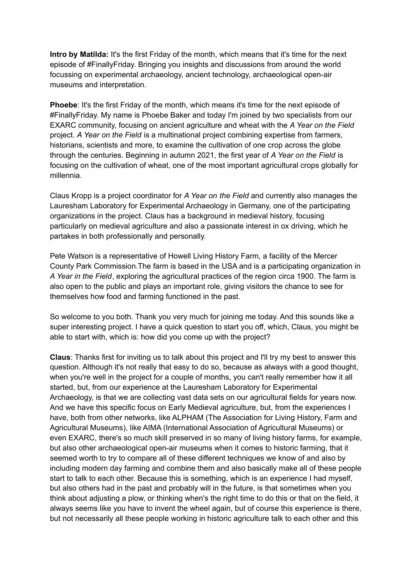**Intro by Matilda:** It's the first Friday of the month, which means that it's time for the next episode of #FinallyFriday. Bringing you insights and discussions from around the world focussing on experimental archaeology, ancient technology, archaeological open-air museums and interpretation.

**Phoebe**: It's the first Friday of the month, which means it's time for the next episode of #FinallyFriday. My name is Phoebe Baker and today I'm joined by two specialists from our EXARC community, focusing on ancient agriculture and wheat with the *A Year on the Field* project. *A Year on the Field* is a multinational project combining expertise from farmers, historians, scientists and more, to examine the cultivation of one crop across the globe through the centuries. Beginning in autumn 2021, the first year of *A Year on the Field* is focusing on the cultivation of wheat, one of the most important agricultural crops globally for millennia.

Claus Kropp is a project coordinator for *A Year on the Field* and currently also manages the Lauresham Laboratory for Experimental Archaeology in Germany, one of the participating organizations in the project. Claus has a background in medieval history, focusing particularly on medieval agriculture and also a passionate interest in ox driving, which he partakes in both professionally and personally.

Pete Watson is a representative of Howell Living History Farm, a facility of the Mercer County Park Commission.The farm is based in the USA and is a participating organization in *A Year in the Field*, exploring the agricultural practices of the region circa 1900. The farm is also open to the public and plays an important role, giving visitors the chance to see for themselves how food and farming functioned in the past.

So welcome to you both. Thank you very much for joining me today. And this sounds like a super interesting project. I have a quick question to start you off, which, Claus, you might be able to start with, which is: how did you come up with the project?

**Claus**: Thanks first for inviting us to talk about this project and I'll try my best to answer this question. Although it's not really that easy to do so, because as always with a good thought, when you're well in the project for a couple of months, you can't really remember how it all started, but, from our experience at the Lauresham Laboratory for Experimental Archaeology, is that we are collecting vast data sets on our agricultural fields for years now. And we have this specific focus on Early Medieval agriculture, but, from the experiences I have, both from other networks, like ALPHAM (The Association for Living History, Farm and Agricultural Museums), like AIMA (International Association of Agricultural Museums) or even EXARC, there's so much skill preserved in so many of living history farms, for example, but also other archaeological open-air museums when it comes to historic farming, that it seemed worth to try to compare all of these different techniques we know of and also by including modern day farming and combine them and also basically make all of these people start to talk to each other. Because this is something, which is an experience I had myself, but also others had in the past and probably will in the future, is that sometimes when you think about adjusting a plow, or thinking when's the right time to do this or that on the field, it always seems like you have to invent the wheel again, but of course this experience is there, but not necessarily all these people working in historic agriculture talk to each other and this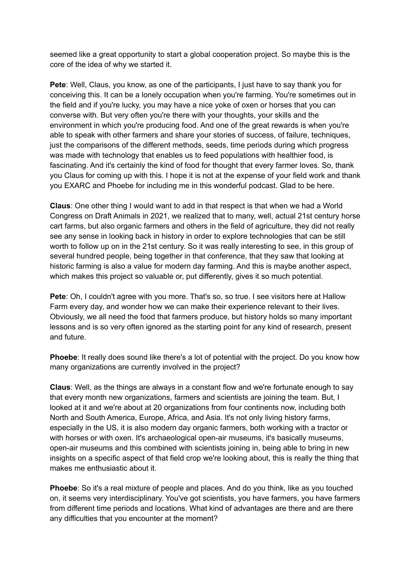seemed like a great opportunity to start a global cooperation project. So maybe this is the core of the idea of why we started it.

**Pete**: Well, Claus, you know, as one of the participants, I just have to say thank you for conceiving this. It can be a lonely occupation when you're farming. You're sometimes out in the field and if you're lucky, you may have a nice yoke of oxen or horses that you can converse with. But very often you're there with your thoughts, your skills and the environment in which you're producing food. And one of the great rewards is when you're able to speak with other farmers and share your stories of success, of failure, techniques, just the comparisons of the different methods, seeds, time periods during which progress was made with technology that enables us to feed populations with healthier food, is fascinating. And it's certainly the kind of food for thought that every farmer loves. So, thank you Claus for coming up with this. I hope it is not at the expense of your field work and thank you EXARC and Phoebe for including me in this wonderful podcast. Glad to be here.

**Claus**: One other thing I would want to add in that respect is that when we had a World Congress on Draft Animals in 2021, we realized that to many, well, actual 21st century horse cart farms, but also organic farmers and others in the field of agriculture, they did not really see any sense in looking back in history in order to explore technologies that can be still worth to follow up on in the 21st century. So it was really interesting to see, in this group of several hundred people, being together in that conference, that they saw that looking at historic farming is also a value for modern day farming. And this is maybe another aspect, which makes this project so valuable or, put differently, gives it so much potential.

**Pete**: Oh, I couldn't agree with you more. That's so, so true. I see visitors here at Hallow Farm every day, and wonder how we can make their experience relevant to their lives. Obviously, we all need the food that farmers produce, but history holds so many important lessons and is so very often ignored as the starting point for any kind of research, present and future.

**Phoebe**: It really does sound like there's a lot of potential with the project. Do you know how many organizations are currently involved in the project?

**Claus**: Well, as the things are always in a constant flow and we're fortunate enough to say that every month new organizations, farmers and scientists are joining the team. But, I looked at it and we're about at 20 organizations from four continents now, including both North and South America, Europe, Africa, and Asia. It's not only living history farms, especially in the US, it is also modern day organic farmers, both working with a tractor or with horses or with oxen. It's archaeological open-air museums, it's basically museums, open-air museums and this combined with scientists joining in, being able to bring in new insights on a specific aspect of that field crop we're looking about, this is really the thing that makes me enthusiastic about it.

**Phoebe**: So it's a real mixture of people and places. And do you think, like as you touched on, it seems very interdisciplinary. You've got scientists, you have farmers, you have farmers from different time periods and locations. What kind of advantages are there and are there any difficulties that you encounter at the moment?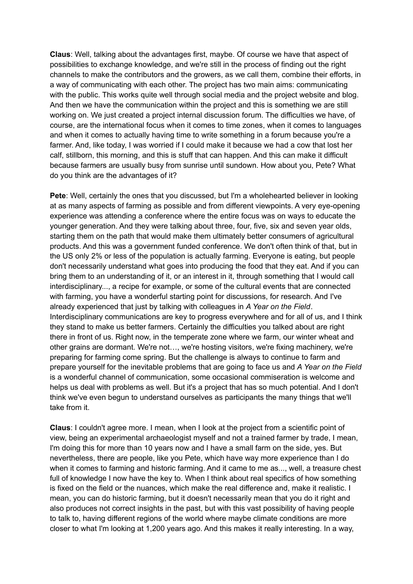**Claus**: Well, talking about the advantages first, maybe. Of course we have that aspect of possibilities to exchange knowledge, and we're still in the process of finding out the right channels to make the contributors and the growers, as we call them, combine their efforts, in a way of communicating with each other. The project has two main aims: communicating with the public. This works quite well through social media and the project website and blog. And then we have the communication within the project and this is something we are still working on. We just created a project internal discussion forum. The difficulties we have, of course, are the international focus when it comes to time zones, when it comes to languages and when it comes to actually having time to write something in a forum because you're a farmer. And, like today, I was worried if I could make it because we had a cow that lost her calf, stillborn, this morning, and this is stuff that can happen. And this can make it difficult because farmers are usually busy from sunrise until sundown. How about you, Pete? What do you think are the advantages of it?

**Pete**: Well, certainly the ones that you discussed, but I'm a wholehearted believer in looking at as many aspects of farming as possible and from different viewpoints. A very eye-opening experience was attending a conference where the entire focus was on ways to educate the younger generation. And they were talking about three, four, five, six and seven year olds, starting them on the path that would make them ultimately better consumers of agricultural products. And this was a government funded conference. We don't often think of that, but in the US only 2% or less of the population is actually farming. Everyone is eating, but people don't necessarily understand what goes into producing the food that they eat. And if you can bring them to an understanding of it, or an interest in it, through something that I would call interdisciplinary..., a recipe for example, or some of the cultural events that are connected with farming, you have a wonderful starting point for discussions, for research. And I've already experienced that just by talking with colleagues in *A Year on the Field*. Interdisciplinary communications are key to progress everywhere and for all of us, and I think they stand to make us better farmers. Certainly the difficulties you talked about are right there in front of us. Right now, in the temperate zone where we farm, our winter wheat and other grains are dormant. We're not…, we're hosting visitors, we're fixing machinery, we're preparing for farming come spring. But the challenge is always to continue to farm and prepare yourself for the inevitable problems that are going to face us and *A Year on the Field* is a wonderful channel of communication, some occasional commiseration is welcome and helps us deal with problems as well. But it's a project that has so much potential. And I don't think we've even begun to understand ourselves as participants the many things that we'll take from it.

**Claus**: I couldn't agree more. I mean, when I look at the project from a scientific point of view, being an experimental archaeologist myself and not a trained farmer by trade, I mean, I'm doing this for more than 10 years now and I have a small farm on the side, yes. But nevertheless, there are people, like you Pete, which have way more experience than I do when it comes to farming and historic farming. And it came to me as..., well, a treasure chest full of knowledge I now have the key to. When I think about real specifics of how something is fixed on the field or the nuances, which make the real difference and, make it realistic. I mean, you can do historic farming, but it doesn't necessarily mean that you do it right and also produces not correct insights in the past, but with this vast possibility of having people to talk to, having different regions of the world where maybe climate conditions are more closer to what I'm looking at 1,200 years ago. And this makes it really interesting. In a way,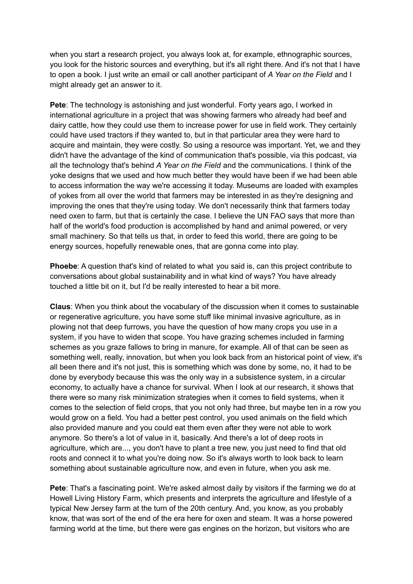when you start a research project, you always look at, for example, ethnographic sources, you look for the historic sources and everything, but it's all right there. And it's not that I have to open a book. I just write an email or call another participant of *A Year on the Field* and I might already get an answer to it.

**Pete**: The technology is astonishing and just wonderful. Forty years ago, I worked in international agriculture in a project that was showing farmers who already had beef and dairy cattle, how they could use them to increase power for use in field work. They certainly could have used tractors if they wanted to, but in that particular area they were hard to acquire and maintain, they were costly. So using a resource was important. Yet, we and they didn't have the advantage of the kind of communication that's possible, via this podcast, via all the technology that's behind *A Year on the Field* and the communications. I think of the yoke designs that we used and how much better they would have been if we had been able to access information the way we're accessing it today. Museums are loaded with examples of yokes from all over the world that farmers may be interested in as they're designing and improving the ones that they're using today. We don't necessarily think that farmers today need oxen to farm, but that is certainly the case. I believe the UN FAO says that more than half of the world's food production is accomplished by hand and animal powered, or very small machinery. So that tells us that, in order to feed this world, there are going to be energy sources, hopefully renewable ones, that are gonna come into play.

**Phoebe**: A question that's kind of related to what you said is, can this project contribute to conversations about global sustainability and in what kind of ways? You have already touched a little bit on it, but I'd be really interested to hear a bit more.

**Claus**: When you think about the vocabulary of the discussion when it comes to sustainable or regenerative agriculture, you have some stuff like minimal invasive agriculture, as in plowing not that deep furrows, you have the question of how many crops you use in a system, if you have to widen that scope. You have grazing schemes included in farming schemes as you graze fallows to bring in manure, for example. All of that can be seen as something well, really, innovation, but when you look back from an historical point of view, it's all been there and it's not just, this is something which was done by some, no, it had to be done by everybody because this was the only way in a subsistence system, in a circular economy, to actually have a chance for survival. When I look at our research, it shows that there were so many risk minimization strategies when it comes to field systems, when it comes to the selection of field crops, that you not only had three, but maybe ten in a row you would grow on a field. You had a better pest control, you used animals on the field which also provided manure and you could eat them even after they were not able to work anymore. So there's a lot of value in it, basically. And there's a lot of deep roots in agriculture, which are..., you don't have to plant a tree new, you just need to find that old roots and connect it to what you're doing now. So it's always worth to look back to learn something about sustainable agriculture now, and even in future, when you ask me.

**Pete**: That's a fascinating point. We're asked almost daily by visitors if the farming we do at Howell Living History Farm, which presents and interprets the agriculture and lifestyle of a typical New Jersey farm at the turn of the 20th century. And, you know, as you probably know, that was sort of the end of the era here for oxen and steam. It was a horse powered farming world at the time, but there were gas engines on the horizon, but visitors who are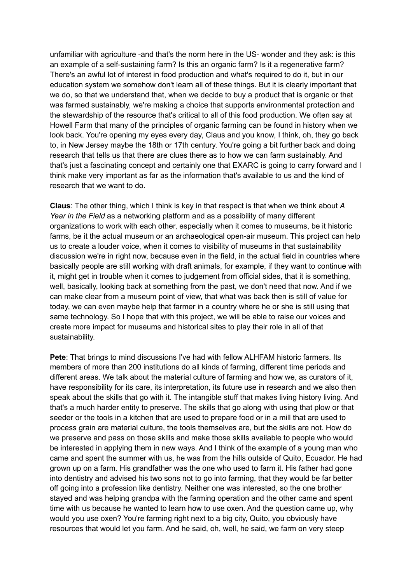unfamiliar with agriculture -and that's the norm here in the US- wonder and they ask: is this an example of a self-sustaining farm? Is this an organic farm? Is it a regenerative farm? There's an awful lot of interest in food production and what's required to do it, but in our education system we somehow don't learn all of these things. But it is clearly important that we do, so that we understand that, when we decide to buy a product that is organic or that was farmed sustainably, we're making a choice that supports environmental protection and the stewardship of the resource that's critical to all of this food production. We often say at Howell Farm that many of the principles of organic farming can be found in history when we look back. You're opening my eyes every day, Claus and you know, I think, oh, they go back to, in New Jersey maybe the 18th or 17th century. You're going a bit further back and doing research that tells us that there are clues there as to how we can farm sustainably. And that's just a fascinating concept and certainly one that EXARC is going to carry forward and I think make very important as far as the information that's available to us and the kind of research that we want to do.

**Claus**: The other thing, which I think is key in that respect is that when we think about *A Year in the Field* as a networking platform and as a possibility of many different organizations to work with each other, especially when it comes to museums, be it historic farms, be it the actual museum or an archaeological open-air museum. This project can help us to create a louder voice, when it comes to visibility of museums in that sustainability discussion we're in right now, because even in the field, in the actual field in countries where basically people are still working with draft animals, for example, if they want to continue with it, might get in trouble when it comes to judgement from official sides, that it is something, well, basically, looking back at something from the past, we don't need that now. And if we can make clear from a museum point of view, that what was back then is still of value for today, we can even maybe help that farmer in a country where he or she is still using that same technology. So I hope that with this project, we will be able to raise our voices and create more impact for museums and historical sites to play their role in all of that sustainability.

**Pete**: That brings to mind discussions I've had with fellow ALHFAM historic farmers. Its members of more than 200 institutions do all kinds of farming, different time periods and different areas. We talk about the material culture of farming and how we, as curators of it, have responsibility for its care, its interpretation, its future use in research and we also then speak about the skills that go with it. The intangible stuff that makes living history living. And that's a much harder entity to preserve. The skills that go along with using that plow or that seeder or the tools in a kitchen that are used to prepare food or in a mill that are used to process grain are material culture, the tools themselves are, but the skills are not. How do we preserve and pass on those skills and make those skills available to people who would be interested in applying them in new ways. And I think of the example of a young man who came and spent the summer with us, he was from the hills outside of Quito, Ecuador. He had grown up on a farm. His grandfather was the one who used to farm it. His father had gone into dentistry and advised his two sons not to go into farming, that they would be far better off going into a profession like dentistry. Neither one was interested, so the one brother stayed and was helping grandpa with the farming operation and the other came and spent time with us because he wanted to learn how to use oxen. And the question came up, why would you use oxen? You're farming right next to a big city, Quito, you obviously have resources that would let you farm. And he said, oh, well, he said, we farm on very steep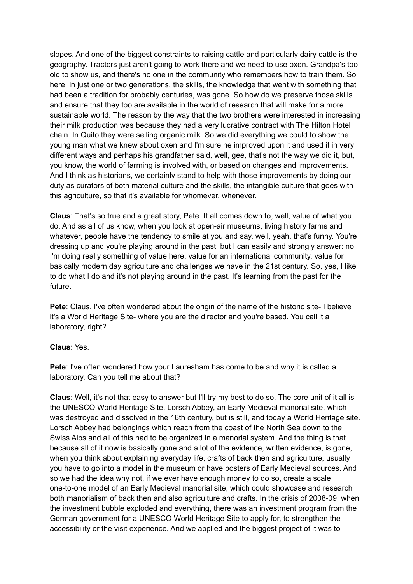slopes. And one of the biggest constraints to raising cattle and particularly dairy cattle is the geography. Tractors just aren't going to work there and we need to use oxen. Grandpa's too old to show us, and there's no one in the community who remembers how to train them. So here, in just one or two generations, the skills, the knowledge that went with something that had been a tradition for probably centuries, was gone. So how do we preserve those skills and ensure that they too are available in the world of research that will make for a more sustainable world. The reason by the way that the two brothers were interested in increasing their milk production was because they had a very lucrative contract with The Hilton Hotel chain. In Quito they were selling organic milk. So we did everything we could to show the young man what we knew about oxen and I'm sure he improved upon it and used it in very different ways and perhaps his grandfather said, well, gee, that's not the way we did it, but, you know, the world of farming is involved with, or based on changes and improvements. And I think as historians, we certainly stand to help with those improvements by doing our duty as curators of both material culture and the skills, the intangible culture that goes with this agriculture, so that it's available for whomever, whenever.

**Claus**: That's so true and a great story, Pete. It all comes down to, well, value of what you do. And as all of us know, when you look at open-air museums, living history farms and whatever, people have the tendency to smile at you and say, well, yeah, that's funny. You're dressing up and you're playing around in the past, but I can easily and strongly answer: no, I'm doing really something of value here, value for an international community, value for basically modern day agriculture and challenges we have in the 21st century. So, yes, I like to do what I do and it's not playing around in the past. It's learning from the past for the future.

**Pete**: Claus, I've often wondered about the origin of the name of the historic site- I believe it's a World Heritage Site- where you are the director and you're based. You call it a laboratory, right?

## **Claus**: Yes.

**Pete**: I've often wondered how your Lauresham has come to be and why it is called a laboratory. Can you tell me about that?

**Claus**: Well, it's not that easy to answer but I'll try my best to do so. The core unit of it all is the UNESCO World Heritage Site, Lorsch Abbey, an Early Medieval manorial site, which was destroyed and dissolved in the 16th century, but is still, and today a World Heritage site. Lorsch Abbey had belongings which reach from the coast of the North Sea down to the Swiss Alps and all of this had to be organized in a manorial system. And the thing is that because all of it now is basically gone and a lot of the evidence, written evidence, is gone, when you think about explaining everyday life, crafts of back then and agriculture, usually you have to go into a model in the museum or have posters of Early Medieval sources. And so we had the idea why not, if we ever have enough money to do so, create a scale one-to-one model of an Early Medieval manorial site, which could showcase and research both manorialism of back then and also agriculture and crafts. In the crisis of 2008-09, when the investment bubble exploded and everything, there was an investment program from the German government for a UNESCO World Heritage Site to apply for, to strengthen the accessibility or the visit experience. And we applied and the biggest project of it was to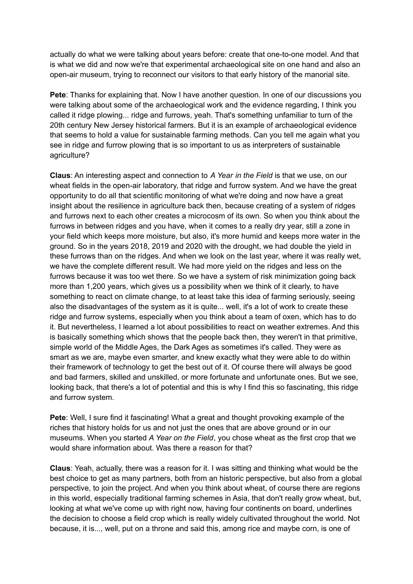actually do what we were talking about years before: create that one-to-one model. And that is what we did and now we're that experimental archaeological site on one hand and also an open-air museum, trying to reconnect our visitors to that early history of the manorial site.

**Pete**: Thanks for explaining that. Now I have another question. In one of our discussions you were talking about some of the archaeological work and the evidence regarding, I think you called it ridge plowing... ridge and furrows, yeah. That's something unfamiliar to turn of the 20th century New Jersey historical farmers. But it is an example of archaeological evidence that seems to hold a value for sustainable farming methods. Can you tell me again what you see in ridge and furrow plowing that is so important to us as interpreters of sustainable agriculture?

**Claus**: An interesting aspect and connection to *A Year in the Field* is that we use, on our wheat fields in the open-air laboratory, that ridge and furrow system. And we have the great opportunity to do all that scientific monitoring of what we're doing and now have a great insight about the resilience in agriculture back then, because creating of a system of ridges and furrows next to each other creates a microcosm of its own. So when you think about the furrows in between ridges and you have, when it comes to a really dry year, still a zone in your field which keeps more moisture, but also, it's more humid and keeps more water in the ground. So in the years 2018, 2019 and 2020 with the drought, we had double the yield in these furrows than on the ridges. And when we look on the last year, where it was really wet, we have the complete different result. We had more yield on the ridges and less on the furrows because it was too wet there. So we have a system of risk minimization going back more than 1,200 years, which gives us a possibility when we think of it clearly, to have something to react on climate change, to at least take this idea of farming seriously, seeing also the disadvantages of the system as it is quite... well, it's a lot of work to create these ridge and furrow systems, especially when you think about a team of oxen, which has to do it. But nevertheless, I learned a lot about possibilities to react on weather extremes. And this is basically something which shows that the people back then, they weren't in that primitive, simple world of the Middle Ages, the Dark Ages as sometimes it's called. They were as smart as we are, maybe even smarter, and knew exactly what they were able to do within their framework of technology to get the best out of it. Of course there will always be good and bad farmers, skilled and unskilled, or more fortunate and unfortunate ones. But we see, looking back, that there's a lot of potential and this is why I find this so fascinating, this ridge and furrow system.

**Pete**: Well, I sure find it fascinating! What a great and thought provoking example of the riches that history holds for us and not just the ones that are above ground or in our museums. When you started *A Year on the Field*, you chose wheat as the first crop that we would share information about. Was there a reason for that?

**Claus**: Yeah, actually, there was a reason for it. I was sitting and thinking what would be the best choice to get as many partners, both from an historic perspective, but also from a global perspective, to join the project. And when you think about wheat, of course there are regions in this world, especially traditional farming schemes in Asia, that don't really grow wheat, but, looking at what we've come up with right now, having four continents on board, underlines the decision to choose a field crop which is really widely cultivated throughout the world. Not because, it is..., well, put on a throne and said this, among rice and maybe corn, is one of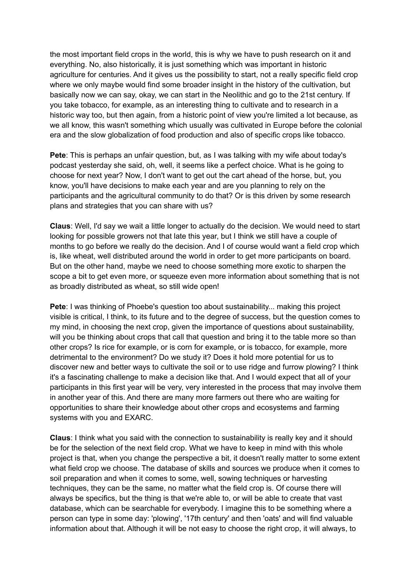the most important field crops in the world, this is why we have to push research on it and everything. No, also historically, it is just something which was important in historic agriculture for centuries. And it gives us the possibility to start, not a really specific field crop where we only maybe would find some broader insight in the history of the cultivation, but basically now we can say, okay, we can start in the Neolithic and go to the 21st century. If you take tobacco, for example, as an interesting thing to cultivate and to research in a historic way too, but then again, from a historic point of view you're limited a lot because, as we all know, this wasn't something which usually was cultivated in Europe before the colonial era and the slow globalization of food production and also of specific crops like tobacco.

**Pete**: This is perhaps an unfair question, but, as I was talking with my wife about today's podcast yesterday she said, oh, well, it seems like a perfect choice. What is he going to choose for next year? Now, I don't want to get out the cart ahead of the horse, but, you know, you'll have decisions to make each year and are you planning to rely on the participants and the agricultural community to do that? Or is this driven by some research plans and strategies that you can share with us?

**Claus**: Well, I'd say we wait a little longer to actually do the decision. We would need to start looking for possible growers not that late this year, but I think we still have a couple of months to go before we really do the decision. And I of course would want a field crop which is, like wheat, well distributed around the world in order to get more participants on board. But on the other hand, maybe we need to choose something more exotic to sharpen the scope a bit to get even more, or squeeze even more information about something that is not as broadly distributed as wheat, so still wide open!

**Pete**: I was thinking of Phoebe's question too about sustainability... making this project visible is critical, I think, to its future and to the degree of success, but the question comes to my mind, in choosing the next crop, given the importance of questions about sustainability, will you be thinking about crops that call that question and bring it to the table more so than other crops? Is rice for example, or is corn for example, or is tobacco, for example, more detrimental to the environment? Do we study it? Does it hold more potential for us to discover new and better ways to cultivate the soil or to use ridge and furrow plowing? I think it's a fascinating challenge to make a decision like that. And I would expect that all of your participants in this first year will be very, very interested in the process that may involve them in another year of this. And there are many more farmers out there who are waiting for opportunities to share their knowledge about other crops and ecosystems and farming systems with you and EXARC.

**Claus**: I think what you said with the connection to sustainability is really key and it should be for the selection of the next field crop. What we have to keep in mind with this whole project is that, when you change the perspective a bit, it doesn't really matter to some extent what field crop we choose. The database of skills and sources we produce when it comes to soil preparation and when it comes to some, well, sowing techniques or harvesting techniques, they can be the same, no matter what the field crop is. Of course there will always be specifics, but the thing is that we're able to, or will be able to create that vast database, which can be searchable for everybody. I imagine this to be something where a person can type in some day: 'plowing', '17th century' and then 'oats' and will find valuable information about that. Although it will be not easy to choose the right crop, it will always, to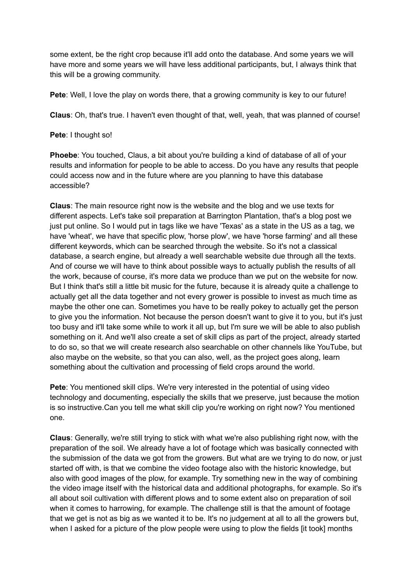some extent, be the right crop because it'll add onto the database. And some years we will have more and some years we will have less additional participants, but, I always think that this will be a growing community.

**Pete**: Well, I love the play on words there, that a growing community is key to our future!

**Claus**: Oh, that's true. I haven't even thought of that, well, yeah, that was planned of course!

## **Pete**: I thought so!

**Phoebe**: You touched, Claus, a bit about you're building a kind of database of all of your results and information for people to be able to access. Do you have any results that people could access now and in the future where are you planning to have this database accessible?

**Claus**: The main resource right now is the website and the blog and we use texts for different aspects. Let's take soil preparation at Barrington Plantation, that's a blog post we just put online. So I would put in tags like we have 'Texas' as a state in the US as a tag, we have 'wheat', we have that specific plow, 'horse plow', we have 'horse farming' and all these different keywords, which can be searched through the website. So it's not a classical database, a search engine, but already a well searchable website due through all the texts. And of course we will have to think about possible ways to actually publish the results of all the work, because of course, it's more data we produce than we put on the website for now. But I think that's still a little bit music for the future, because it is already quite a challenge to actually get all the data together and not every grower is possible to invest as much time as maybe the other one can. Sometimes you have to be really pokey to actually get the person to give you the information. Not because the person doesn't want to give it to you, but it's just too busy and it'll take some while to work it all up, but I'm sure we will be able to also publish something on it. And we'll also create a set of skill clips as part of the project, already started to do so, so that we will create research also searchable on other channels like YouTube, but also maybe on the website, so that you can also, well, as the project goes along, learn something about the cultivation and processing of field crops around the world.

**Pete**: You mentioned skill clips. We're very interested in the potential of using video technology and documenting, especially the skills that we preserve, just because the motion is so instructive.Can you tell me what skill clip you're working on right now? You mentioned one.

**Claus**: Generally, we're still trying to stick with what we're also publishing right now, with the preparation of the soil. We already have a lot of footage which was basically connected with the submission of the data we got from the growers. But what are we trying to do now, or just started off with, is that we combine the video footage also with the historic knowledge, but also with good images of the plow, for example. Try something new in the way of combining the video image itself with the historical data and additional photographs, for example. So it's all about soil cultivation with different plows and to some extent also on preparation of soil when it comes to harrowing, for example. The challenge still is that the amount of footage that we get is not as big as we wanted it to be. It's no judgement at all to all the growers but, when I asked for a picture of the plow people were using to plow the fields [it took] months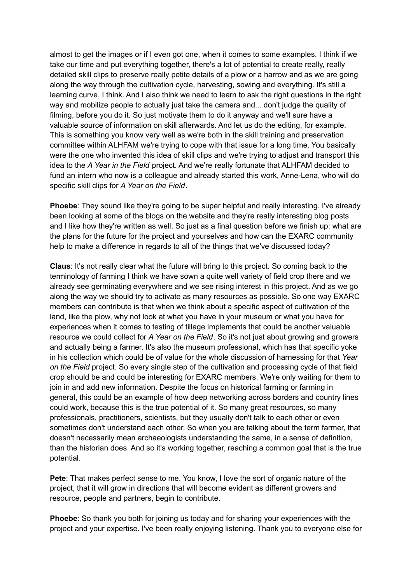almost to get the images or if I even got one, when it comes to some examples. I think if we take our time and put everything together, there's a lot of potential to create really, really detailed skill clips to preserve really petite details of a plow or a harrow and as we are going along the way through the cultivation cycle, harvesting, sowing and everything. It's still a learning curve, I think. And I also think we need to learn to ask the right questions in the right way and mobilize people to actually just take the camera and... don't judge the quality of filming, before you do it. So just motivate them to do it anyway and we'll sure have a valuable source of information on skill afterwards. And let us do the editing, for example. This is something you know very well as we're both in the skill training and preservation committee within ALHFAM we're trying to cope with that issue for a long time. You basically were the one who invented this idea of skill clips and we're trying to adjust and transport this idea to the *A Year in the Field* project. And we're really fortunate that ALHFAM decided to fund an intern who now is a colleague and already started this work, Anne-Lena, who will do specific skill clips for *A Year on the Field*.

**Phoebe**: They sound like they're going to be super helpful and really interesting. I've already been looking at some of the blogs on the website and they're really interesting blog posts and I like how they're written as well. So just as a final question before we finish up: what are the plans for the future for the project and yourselves and how can the EXARC community help to make a difference in regards to all of the things that we've discussed today?

**Claus**: It's not really clear what the future will bring to this project. So coming back to the terminology of farming I think we have sown a quite well variety of field crop there and we already see germinating everywhere and we see rising interest in this project. And as we go along the way we should try to activate as many resources as possible. So one way EXARC members can contribute is that when we think about a specific aspect of cultivation of the land, like the plow, why not look at what you have in your museum or what you have for experiences when it comes to testing of tillage implements that could be another valuable resource we could collect for *A Year on the Field*. So it's not just about growing and growers and actually being a farmer. It's also the museum professional, which has that specific yoke in his collection which could be of value for the whole discussion of harnessing for that *Year on the Field* project. So every single step of the cultivation and processing cycle of that field crop should be and could be interesting for EXARC members. We're only waiting for them to join in and add new information. Despite the focus on historical farming or farming in general, this could be an example of how deep networking across borders and country lines could work, because this is the true potential of it. So many great resources, so many professionals, practitioners, scientists, but they usually don't talk to each other or even sometimes don't understand each other. So when you are talking about the term farmer, that doesn't necessarily mean archaeologists understanding the same, in a sense of definition, than the historian does. And so it's working together, reaching a common goal that is the true potential.

**Pete**: That makes perfect sense to me. You know, I love the sort of organic nature of the project, that it will grow in directions that will become evident as different growers and resource, people and partners, begin to contribute.

**Phoebe**: So thank you both for joining us today and for sharing your experiences with the project and your expertise. I've been really enjoying listening. Thank you to everyone else for